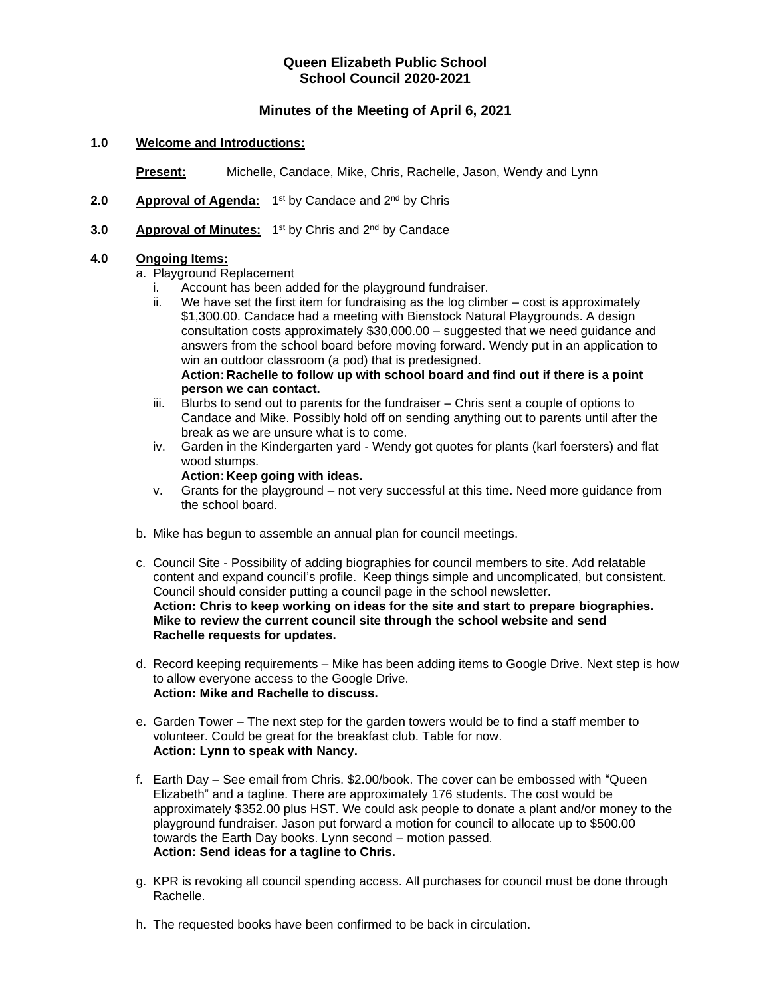# **Queen Elizabeth Public School School Council 2020-2021**

# **Minutes of the Meeting of April 6, 2021**

### **1.0 Welcome and Introductions:**

**Present:** Michelle, Candace, Mike, Chris, Rachelle, Jason, Wendy and Lynn

- 2.0 **Approval of Agenda:** 1<sup>st</sup> by Candace and 2<sup>nd</sup> by Chris
- **3.0 Approval of Minutes:** 1<sup>st</sup> by Chris and 2<sup>nd</sup> by Candace

## **4.0 Ongoing Items:**

a. Playground Replacement

- i. Account has been added for the playground fundraiser.
- ii. We have set the first item for fundraising as the log climber cost is approximately \$1,300.00. Candace had a meeting with Bienstock Natural Playgrounds. A design consultation costs approximately \$30,000.00 – suggested that we need guidance and answers from the school board before moving forward. Wendy put in an application to win an outdoor classroom (a pod) that is predesigned. **Action: Rachelle to follow up with school board and find out if there is a point person we can contact.**
- iii. Blurbs to send out to parents for the fundraiser Chris sent a couple of options to Candace and Mike. Possibly hold off on sending anything out to parents until after the break as we are unsure what is to come.
- iv. Garden in the Kindergarten yard Wendy got quotes for plants (karl foersters) and flat wood stumps.

#### **Action: Keep going with ideas.**

- v. Grants for the playground not very successful at this time. Need more guidance from the school board.
- b. Mike has begun to assemble an annual plan for council meetings.
- c. Council Site Possibility of adding biographies for council members to site. Add relatable content and expand council's profile. Keep things simple and uncomplicated, but consistent. Council should consider putting a council page in the school newsletter. **Action: Chris to keep working on ideas for the site and start to prepare biographies. Mike to review the current council site through the school website and send Rachelle requests for updates.**
- d. Record keeping requirements Mike has been adding items to Google Drive. Next step is how to allow everyone access to the Google Drive. **Action: Mike and Rachelle to discuss.**
- e. Garden Tower The next step for the garden towers would be to find a staff member to volunteer. Could be great for the breakfast club. Table for now. **Action: Lynn to speak with Nancy.**
- f. Earth Day See email from Chris. \$2.00/book. The cover can be embossed with "Queen Elizabeth" and a tagline. There are approximately 176 students. The cost would be approximately \$352.00 plus HST. We could ask people to donate a plant and/or money to the playground fundraiser. Jason put forward a motion for council to allocate up to \$500.00 towards the Earth Day books. Lynn second – motion passed. **Action: Send ideas for a tagline to Chris.**
- g. KPR is revoking all council spending access. All purchases for council must be done through Rachelle.
- h. The requested books have been confirmed to be back in circulation.